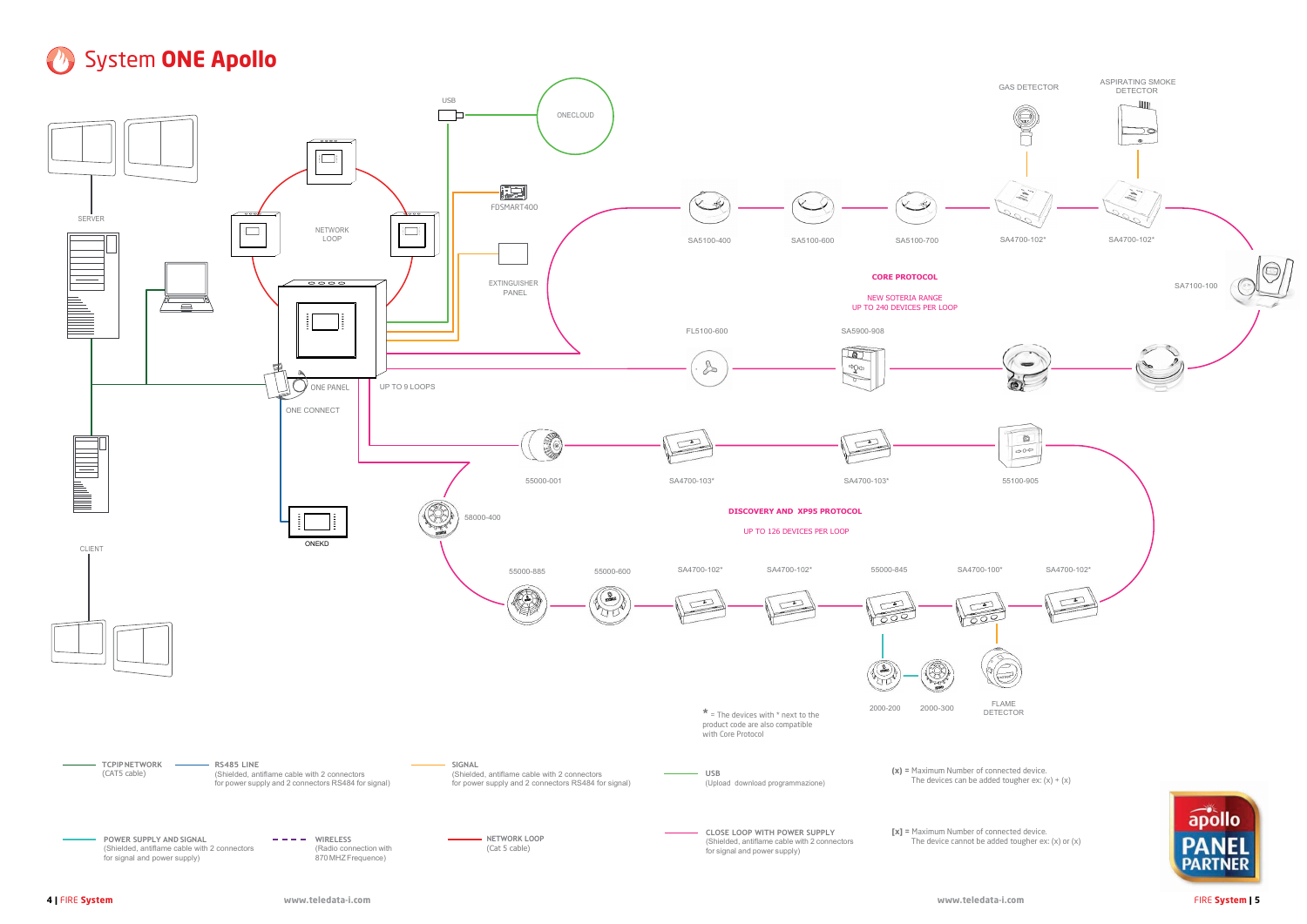## **B** System ONE Apollo



- 
-